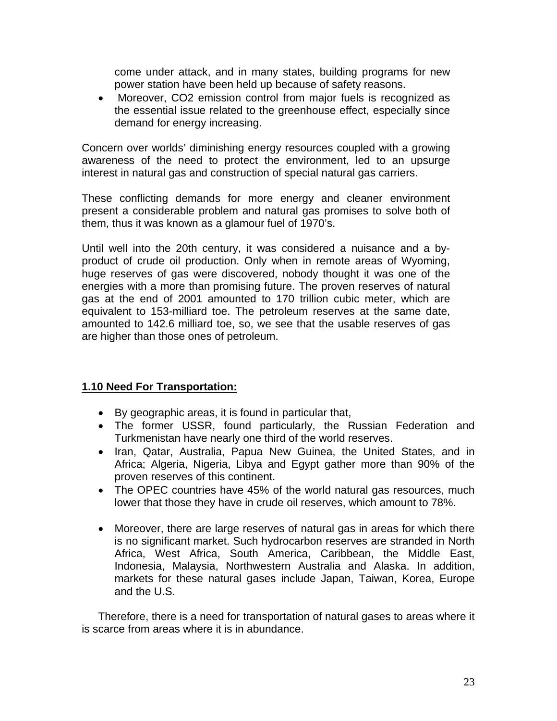come under attack, and in many states, building programs for new power station have been held up because of safety reasons.

• Moreover, CO2 emission control from major fuels is recognized as the essential issue related to the greenhouse effect, especially since demand for energy increasing.

Concern over worlds' diminishing energy resources coupled with a growing awareness of the need to protect the environment, led to an upsurge interest in natural gas and construction of special natural gas carriers.

These conflicting demands for more energy and cleaner environment present a considerable problem and natural gas promises to solve both of them, thus it was known as a glamour fuel of 1970's.

Until well into the 20th century, it was considered a nuisance and a byproduct of crude oil production. Only when in remote areas of Wyoming, huge reserves of gas were discovered, nobody thought it was one of the energies with a more than promising future. The proven reserves of natural gas at the end of 2001 amounted to 170 trillion cubic meter, which are equivalent to 153-milliard toe. The petroleum reserves at the same date, amounted to 142.6 milliard toe, so, we see that the usable reserves of gas are higher than those ones of petroleum.

## **1.10 Need For Transportation:**

- By geographic areas, it is found in particular that,
- The former USSR, found particularly, the Russian Federation and Turkmenistan have nearly one third of the world reserves.
- Iran, Qatar, Australia, Papua New Guinea, the United States, and in Africa; Algeria, Nigeria, Libya and Egypt gather more than 90% of the proven reserves of this continent.
- The OPEC countries have 45% of the world natural gas resources, much lower that those they have in crude oil reserves, which amount to 78%.
- Moreover, there are large reserves of natural gas in areas for which there is no significant market. Such hydrocarbon reserves are stranded in North Africa, West Africa, South America, Caribbean, the Middle East, Indonesia, Malaysia, Northwestern Australia and Alaska. In addition, markets for these natural gases include Japan, Taiwan, Korea, Europe and the U.S.

Therefore, there is a need for transportation of natural gases to areas where it is scarce from areas where it is in abundance.